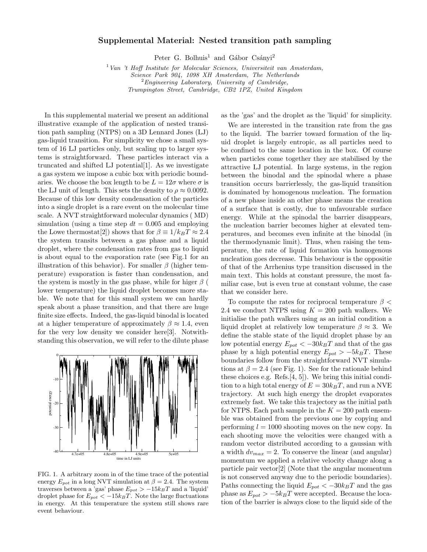## Supplemental Material: Nested transition path sampling

Peter G. Bolhuis<sup>1</sup> and Gábor Csányi<sup>2</sup>

 $1$  Van 't Hoff Institute for Molecular Sciences, Universiteit van Amsterdam,

Science Park 904, 1098 XH Amsterdam, The Netherlands

 $2$ Engineering Laboratory, University of Cambridge,

Trumpington Street, Cambridge, CB2 1PZ, United Kingdom

In this supplemental material we present an additional illustrative example of the application of nested transition path sampling (NTPS) on a 3D Lennard Jones (LJ) gas-liquid transition. For simplicity we chose a small system of 16 LJ particles only, but scaling up to larger systems is straightforward. These particles interact via a truncated and shifted LJ potential[1]. As we investigate a gas system we impose a cubic box with periodic boundaries. We choose the box length to be  $L = 12\sigma$  where  $\sigma$  is the LJ unit of length. This sets the density to  $\rho \approx 0.0092$ . Because of this low density condensation of the particles into a single droplet is a rare event on the molecular time scale. A NVT straightforward molecular dynamics ( MD) simulation (using a time step  $dt = 0.005$  and employing the Lowe thermostat[2]) shows that for  $\beta \equiv 1/k_BT \approx 2.4$ the system transits between a gas phase and a liquid droplet, where the condensation rates from gas to liquid is about equal to the evaporation rate (see Fig.1 for an illustration of this behavior). For smaller  $\beta$  (higher temperature) evaporation is faster than condensation, and the system is mostly in the gas phase, while for higer  $\beta$  ( lower temperature) the liquid droplet becomes more stable. We note that for this small system we can hardly speak about a phase transition, and that there are huge finite size effects. Indeed, the gas-liquid binodal is located at a higher temperature of approximately  $\beta \approx 1.4$ , even for the very low density we consider here[3]. Notwithstanding this observation, we will refer to the dilute phase



FIG. 1. A arbitrary zoom in of the time trace of the potential energy  $E_{pot}$  in a long NVT simulation at  $\beta = 2.4$ . The system traverses between a 'gas' phase  $E_{pot} > -15k_BT$  and a 'liquid' droplet phase for  $E_{pot} < -15k_BT$ . Note the large fluctuations in energy. At this temperature the system still shows rare event behaviour.

as the 'gas' and the droplet as the 'liquid' for simplicity.

We are interested in the transition rate from the gas to the liquid. The barrier toward formation of the liquid droplet is largely entropic, as all particles need to be confined to the same location in the box. Of course when particles come together they are stabilised by the attractive LJ potential. In large systems, in the region between the binodal and the spinodal where a phase transition occurs barrierlessly, the gas-liquid transition is dominated by homogenous nucleation. The formation of a new phase inside an other phase means the creation of a surface that is costly, due to unfavourable surface energy. While at the spinodal the barrier disappears, the nucleation barrier becomes higher at elevated temperatures, and becomes even infinite at the binodal (in the thermodynamic limit). Thus, when raising the temperature, the rate of liquid formation via homogenous nucleation goes decrease. This behaviour is the oppositie of that of the Arrhenius type transition discussed in the main text. This holds at constant pressure, the most familiar case, but is even true at constant volume, the case that we consider here.

To compute the rates for reciprocal temperature  $\beta$  < 2.4 we conduct NTPS using  $K = 200$  path walkers. We initialise the path walkers using as an initial condition a liquid droplet at relatively low temperature  $\beta \approx 3$ . We define the stable state of the liquid droplet phase by an low potential energy  $E_{pot} < -30k_BT$  and that of the gas phase by a high potential energy  $E_{pot} > -5k_BT$ . These boundaries follow from the straightforward NVT simulations at  $\beta = 2.4$  (see Fig. 1). See for the rationale behind these choices e.g. Refs.[4, 5]). We bring this initial condition to a high total energy of  $E = 30k_BT$ , and run a NVE trajectory. At such high energy the droplet evaporates extremely fast. We take this trajectory as the initial path for NTPS. Each path sample in the  $K = 200$  path ensemble was obtained from the previous one by copying and performing  $l = 1000$  shooting moves on the new copy. In each shooting move the velocities were changed with a random vector distributed according to a gaussian with a width  $dv_{max} = 2$ . To conserve the linear (and angular) momentum we applied a relative velocity change along a particle pair vector[2] (Note that the angular momentum is not conserved anyway due to the periodic boundaries). Paths connecting the liquid  $E_{pot} < -30k_BT$  and the gas phase as  $E_{pot} > -5k_BT$  were accepted. Because the location of the barrier is always close to the liquid side of the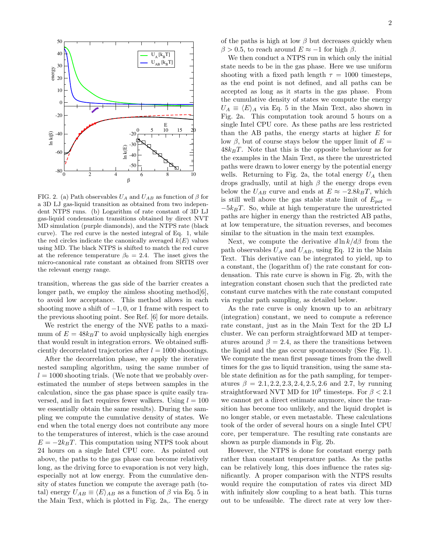

FIG. 2. (a) Path observables  $U_A$  and  $U_{AB}$  as function of  $\beta$  for a 3D LJ gas-liquid transition as obtained from two independent NTPS runs. (b) Logarithm of rate constant of 3D LJ gas-liquid condensation transitions obtained by direct NVT MD simulation (purple diamonds), and the NTPS rate (black curve). The red curve is the nested integral of Eq. 1, while the red circles indicate the canonically averaged  $k(E)$  values using MD. The black NTPS is shifted to match the red curve at the reference temperature  $\beta_0 = 2.4$ . The inset gives the micro-canonical rate constant as obtained from SRTIS over the relevant energy range.

transition, whereas the gas side of the barrier creates a longer path, we employ the aimless shooting method  $[6]$ , to avoid low acceptance. This method allows in each shooting move a shift of  $-1, 0$ , or 1 frame with respect to the previous shooting point. See Ref. [6] for more details.

We restrict the energy of the NVE paths to a maximum of  $E = 48k_BT$  to avoid unphysically high energies that would result in integration errors. We obtained sufficiently decorrelated trajectories after  $l = 1000$  shootings.

After the decorrelation phase, we apply the iterative nested sampling algorithm, using the same number of  $l = 1000$  shooting trials. (We note that we probably overestimated the number of steps between samples in the calculation, since the gas phase space is quite easily traversed, and in fact requires fewer walkers. Using  $l = 100$ we essentially obtain the same results). During the sampling we compute the cumulative density of states. We end when the total energy does not contribute any more to the temperatures of interest, which is the case around  $E = -2k_BT$ . This computation using NTPS took about 24 hours on a single Intel CPU core. As pointed out above, the paths to the gas phase can become relatively long, as the driving force to evaporation is not very high, especially not at low energy. From the cumulative density of states function we compute the average path (total) energy  $U_{AB} \equiv \langle E \rangle_{AB}$  as a function of  $\beta$  via Eq. 5 in the Main Text, which is plotted in Fig. 2a,. The energy

of the paths is high at low  $\beta$  but decreases quickly when  $\beta > 0.5$ , to reach around  $E \approx -1$  for high  $\beta$ .

We then conduct a NTPS run in which only the initial state needs to be in the gas phase. Here we use uniform shooting with a fixed path length  $\tau = 1000$  timesteps, as the end point is not defined, and all paths can be accepted as long as it starts in the gas phase. From the cumulative density of states we compute the energy  $U_A \equiv \langle E \rangle_A$  via Eq. 5 in the Main Text, also shown in Fig. 2a. This computation took around 5 hours on a single Intel CPU core. As these paths are less restricted than the AB paths, the energy starts at higher  $E$  for low β, but of course stays below the upper limit of  $E =$  $48k_BT$ . Note that this is the opposite behaviour as for the examples in the Main Text, as there the unrestricted paths were drawn to lower energy by the potential energy wells. Returning to Fig. 2a, the total energy  $U_A$  then drops gradually, until at high  $\beta$  the energy drops even below the  $U_{AB}$  curve and ends at  $E \approx -2.8k_BT$ , which is still well above the gas stable state limit of  $E_{pot}$  =  $-5k_BT$ . So, while at high temperature the unrestricted paths are higher in energy than the restricted AB paths, at low temperature, the situation reverses, and becomes similar to the situation in the main text examples.

Next, we compute the derivative  $d \ln k / d\beta$  from the path observables  $U_A$  and  $U_{AB}$ , using Eq. 12 in the Main Text. This derivative can be integrated to yield, up to a constant, the (logarithm of) the rate constant for condensation. This rate curve is shown in Fig. 2b, with the integration constant chosen such that the predicted rate constant curve matches with the rate constant computed via regular path sampling, as detailed below.

As the rate curve is only known up to an arbitrary (integration) constant, we need to compute a reference rate constant, just as in the Main Text for the 2D LJ cluster. We can perform straightforward MD at temperatures around  $\beta = 2.4$ , as there the transitions between the liquid and the gas occur spontaneously (See Fig. 1). We compute the mean first passage times from the dwell times for the gas to liquid transition, using the same stable state definition as for the path sampling, for temperatures  $\beta = 2.1, 2.2, 2.3, 2.4, 2.5, 2.6$  and 2.7, by running straightforward NVT MD for  $10^9$  timesteps. For  $\beta < 2.1$ we cannot get a direct estimate anymore, since the transition has become too unlikely, and the liquid droplet is no longer stable, or even metastable. These calculations took of the order of several hours on a single Intel CPU core, per temperature. The resulting rate constants are shown as purple diamonds in Fig. 2b.

However, the NTPS is done for constant energy path rather than constant temperature paths. As the paths can be relatively long, this does influence the rates significantly. A proper comparison with the NTPS results would require the computation of rates via direct MD with infinitely slow coupling to a heat bath. This turns out to be unfeasible. The direct rate at very low ther